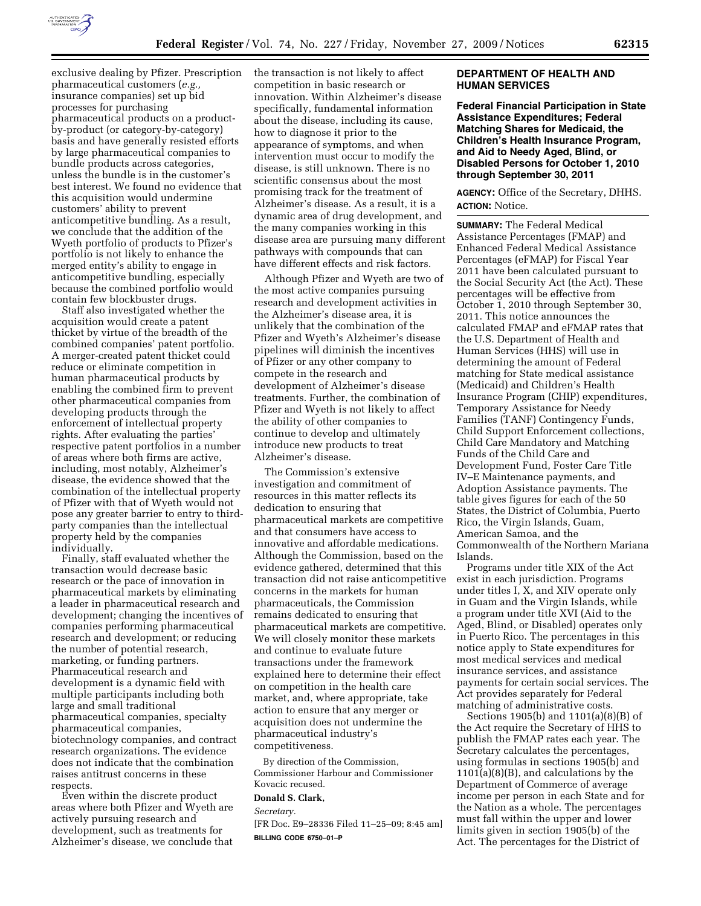

exclusive dealing by Pfizer. Prescription pharmaceutical customers (*e.g.,*  insurance companies) set up bid processes for purchasing pharmaceutical products on a productby-product (or category-by-category) basis and have generally resisted efforts by large pharmaceutical companies to bundle products across categories, unless the bundle is in the customer's best interest. We found no evidence that this acquisition would undermine customers' ability to prevent anticompetitive bundling. As a result, we conclude that the addition of the Wyeth portfolio of products to Pfizer's portfolio is not likely to enhance the merged entity's ability to engage in anticompetitive bundling, especially because the combined portfolio would contain few blockbuster drugs.

Staff also investigated whether the acquisition would create a patent thicket by virtue of the breadth of the combined companies' patent portfolio. A merger-created patent thicket could reduce or eliminate competition in human pharmaceutical products by enabling the combined firm to prevent other pharmaceutical companies from developing products through the enforcement of intellectual property rights. After evaluating the parties' respective patent portfolios in a number of areas where both firms are active, including, most notably, Alzheimer's disease, the evidence showed that the combination of the intellectual property of Pfizer with that of Wyeth would not pose any greater barrier to entry to thirdparty companies than the intellectual property held by the companies individually.

Finally, staff evaluated whether the transaction would decrease basic research or the pace of innovation in pharmaceutical markets by eliminating a leader in pharmaceutical research and development; changing the incentives of companies performing pharmaceutical research and development; or reducing the number of potential research, marketing, or funding partners. Pharmaceutical research and development is a dynamic field with multiple participants including both large and small traditional pharmaceutical companies, specialty pharmaceutical companies, biotechnology companies, and contract research organizations. The evidence does not indicate that the combination raises antitrust concerns in these respects.

Even within the discrete product areas where both Pfizer and Wyeth are actively pursuing research and development, such as treatments for Alzheimer's disease, we conclude that the transaction is not likely to affect competition in basic research or innovation. Within Alzheimer's disease specifically, fundamental information about the disease, including its cause, how to diagnose it prior to the appearance of symptoms, and when intervention must occur to modify the disease, is still unknown. There is no scientific consensus about the most promising track for the treatment of Alzheimer's disease. As a result, it is a dynamic area of drug development, and the many companies working in this disease area are pursuing many different pathways with compounds that can have different effects and risk factors.

Although Pfizer and Wyeth are two of the most active companies pursuing research and development activities in the Alzheimer's disease area, it is unlikely that the combination of the Pfizer and Wyeth's Alzheimer's disease pipelines will diminish the incentives of Pfizer or any other company to compete in the research and development of Alzheimer's disease treatments. Further, the combination of Pfizer and Wyeth is not likely to affect the ability of other companies to continue to develop and ultimately introduce new products to treat Alzheimer's disease.

The Commission's extensive investigation and commitment of resources in this matter reflects its dedication to ensuring that pharmaceutical markets are competitive and that consumers have access to innovative and affordable medications. Although the Commission, based on the evidence gathered, determined that this transaction did not raise anticompetitive concerns in the markets for human pharmaceuticals, the Commission remains dedicated to ensuring that pharmaceutical markets are competitive. We will closely monitor these markets and continue to evaluate future transactions under the framework explained here to determine their effect on competition in the health care market, and, where appropriate, take action to ensure that any merger or acquisition does not undermine the pharmaceutical industry's competitiveness.

By direction of the Commission, Commissioner Harbour and Commissioner Kovacic recused.

## **Donald S. Clark,**

*Secretary.* 

[FR Doc. E9–28336 Filed 11–25–09; 8:45 am] **BILLING CODE 6750–01–P** 

## **DEPARTMENT OF HEALTH AND HUMAN SERVICES**

**Federal Financial Participation in State Assistance Expenditures; Federal Matching Shares for Medicaid, the Children's Health Insurance Program, and Aid to Needy Aged, Blind, or Disabled Persons for October 1, 2010 through September 30, 2011** 

**AGENCY:** Office of the Secretary, DHHS. **ACTION:** Notice.

**SUMMARY:** The Federal Medical Assistance Percentages (FMAP) and Enhanced Federal Medical Assistance Percentages (eFMAP) for Fiscal Year 2011 have been calculated pursuant to the Social Security Act (the Act). These percentages will be effective from October 1, 2010 through September 30, 2011. This notice announces the calculated FMAP and eFMAP rates that the U.S. Department of Health and Human Services (HHS) will use in determining the amount of Federal matching for State medical assistance (Medicaid) and Children's Health Insurance Program (CHIP) expenditures, Temporary Assistance for Needy Families (TANF) Contingency Funds, Child Support Enforcement collections, Child Care Mandatory and Matching Funds of the Child Care and Development Fund, Foster Care Title IV–E Maintenance payments, and Adoption Assistance payments. The table gives figures for each of the 50 States, the District of Columbia, Puerto Rico, the Virgin Islands, Guam, American Samoa, and the Commonwealth of the Northern Mariana Islands.

Programs under title XIX of the Act exist in each jurisdiction. Programs under titles I, X, and XIV operate only in Guam and the Virgin Islands, while a program under title XVI (Aid to the Aged, Blind, or Disabled) operates only in Puerto Rico. The percentages in this notice apply to State expenditures for most medical services and medical insurance services, and assistance payments for certain social services. The Act provides separately for Federal matching of administrative costs.

Sections 1905(b) and 1101(a)(8)(B) of the Act require the Secretary of HHS to publish the FMAP rates each year. The Secretary calculates the percentages, using formulas in sections 1905(b) and 1101(a)(8)(B), and calculations by the Department of Commerce of average income per person in each State and for the Nation as a whole. The percentages must fall within the upper and lower limits given in section 1905(b) of the Act. The percentages for the District of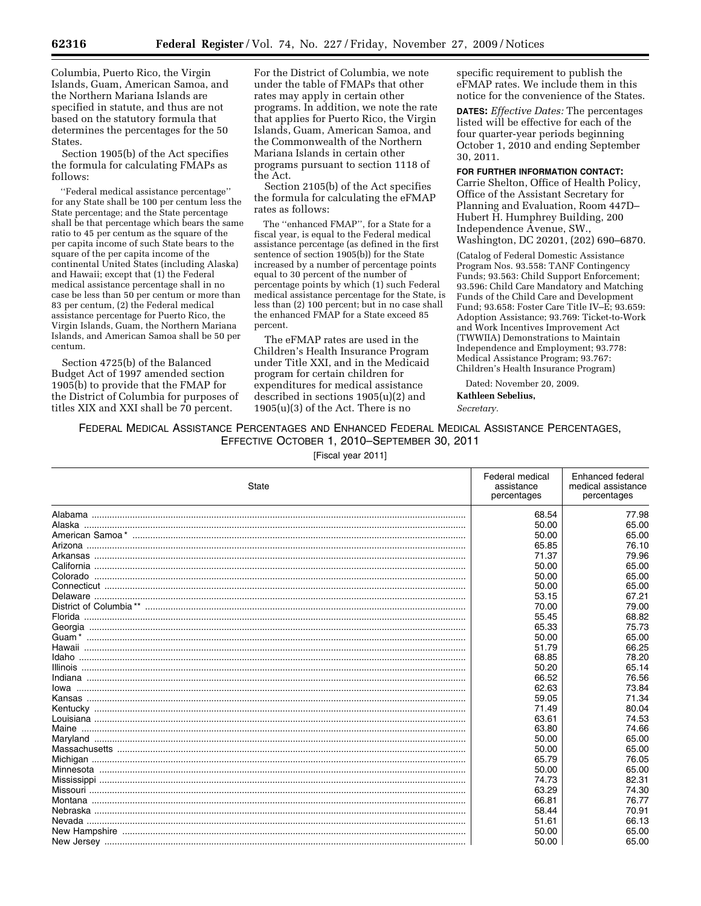Columbia, Puerto Rico, the Virgin Islands, Guam, American Samoa, and the Northern Mariana Islands are specified in statute, and thus are not based on the statutory formula that determines the percentages for the 50 States.

Section 1905(b) of the Act specifies the formula for calculating FMAPs as follows:

''Federal medical assistance percentage'' for any State shall be 100 per centum less the State percentage; and the State percentage shall be that percentage which bears the same ratio to 45 per centum as the square of the per capita income of such State bears to the square of the per capita income of the continental United States (including Alaska) and Hawaii; except that (1) the Federal medical assistance percentage shall in no case be less than 50 per centum or more than 83 per centum, (2) the Federal medical assistance percentage for Puerto Rico, the Virgin Islands, Guam, the Northern Mariana Islands, and American Samoa shall be 50 per centum.

Section 4725(b) of the Balanced Budget Act of 1997 amended section 1905(b) to provide that the FMAP for the District of Columbia for purposes of titles XIX and XXI shall be 70 percent.

For the District of Columbia, we note under the table of FMAPs that other rates may apply in certain other programs. In addition, we note the rate that applies for Puerto Rico, the Virgin Islands, Guam, American Samoa, and the Commonwealth of the Northern Mariana Islands in certain other programs pursuant to section 1118 of the Act.

Section 2105(b) of the Act specifies the formula for calculating the eFMAP rates as follows:

The ''enhanced FMAP'', for a State for a fiscal year, is equal to the Federal medical assistance percentage (as defined in the first sentence of section 1905(b)) for the State increased by a number of percentage points equal to 30 percent of the number of percentage points by which (1) such Federal medical assistance percentage for the State, is less than (2) 100 percent; but in no case shall the enhanced FMAP for a State exceed 85 percent.

The eFMAP rates are used in the Children's Health Insurance Program under Title XXI, and in the Medicaid program for certain children for expenditures for medical assistance described in sections 1905(u)(2) and 1905(u)(3) of the Act. There is no

specific requirement to publish the eFMAP rates. We include them in this notice for the convenience of the States.

**DATES:** *Effective Dates:* The percentages listed will be effective for each of the four quarter-year periods beginning October 1, 2010 and ending September 30, 2011.

**FOR FURTHER INFORMATION CONTACT:** 

Carrie Shelton, Office of Health Policy, Office of the Assistant Secretary for Planning and Evaluation, Room 447D– Hubert H. Humphrey Building, 200 Independence Avenue, SW., Washington, DC 20201, (202) 690–6870.

(Catalog of Federal Domestic Assistance Program Nos. 93.558: TANF Contingency Funds; 93.563: Child Support Enforcement; 93.596: Child Care Mandatory and Matching Funds of the Child Care and Development Fund; 93.658: Foster Care Title IV–E; 93.659: Adoption Assistance; 93.769: Ticket-to-Work and Work Incentives Improvement Act (TWWIIA) Demonstrations to Maintain Independence and Employment; 93.778: Medical Assistance Program; 93.767: Children's Health Insurance Program)

Dated: November 20, 2009. **Kathleen Sebelius,**  *Secretary.* 

FEDERAL MEDICAL ASSISTANCE PERCENTAGES AND ENHANCED FEDERAL MEDICAL ASSISTANCE PERCENTAGES, EFFECTIVE OCTOBER 1, 2010–SEPTEMBER 30, 2011

[Fiscal year 2011]

| State | Federal medical<br>assistance<br>percentages | Enhanced federal<br>medical assistance<br>percentages |
|-------|----------------------------------------------|-------------------------------------------------------|
|       | 68.54                                        | 77.98                                                 |
|       | 50.00                                        | 65.00                                                 |
|       | 50.00                                        | 65.00                                                 |
|       | 65.85                                        | 76.10                                                 |
|       | 71.37                                        | 79.96                                                 |
|       | 50.00                                        | 65.00                                                 |
|       | 50.00                                        | 65.00                                                 |
|       | 50.00                                        | 65.00                                                 |
|       | 53.15                                        | 67.21                                                 |
|       | 70.00                                        | 79.00                                                 |
|       | 55.45                                        | 68.82                                                 |
|       | 65.33                                        | 75.73                                                 |
|       | 50.00                                        | 65.00                                                 |
|       | 51.79                                        | 66.25                                                 |
| Idaho | 68.85                                        | 78.20                                                 |
|       | 50.20                                        | 65.14                                                 |
|       | 66.52                                        | 76.56                                                 |
|       | 62.63                                        | 73.84                                                 |
|       | 59.05                                        | 71.34                                                 |
|       | 71.49                                        | 80.04                                                 |
|       | 63.61                                        | 74.53                                                 |
|       | 63.80                                        | 74.66                                                 |
|       | 50.00                                        | 65.00                                                 |
|       | 50.00                                        | 65.00                                                 |
|       | 65.79                                        | 76.05                                                 |
|       | 50.00                                        | 65.00                                                 |
|       | 74.73                                        | 82.31                                                 |
|       | 63.29                                        | 74.30                                                 |
|       | 66.81                                        | 76.77                                                 |
|       | 58.44                                        | 70.91                                                 |
|       | 51.61                                        | 66.13                                                 |
|       | 50.00                                        | 65.00                                                 |
|       | 50.00                                        | 65.00                                                 |